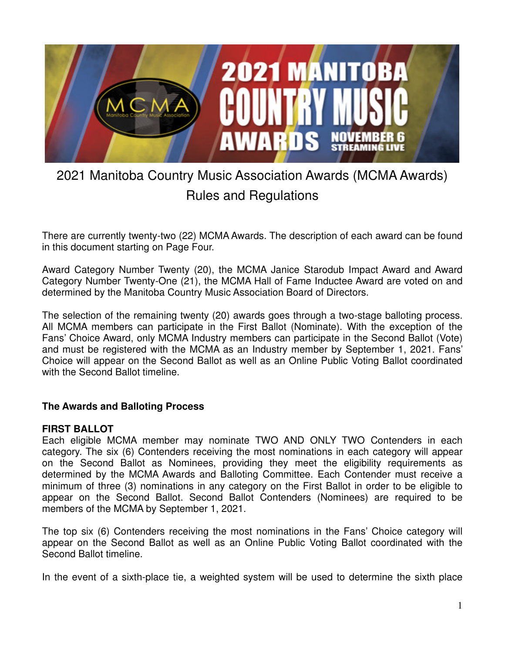

# 2021 Manitoba Country Music Association Awards (MCMA Awards) Rules and Regulations

There are currently twenty-two (22) MCMA Awards. The description of each award can be found in this document starting on Page Four.

Award Category Number Twenty (20), the MCMA Janice Starodub Impact Award and Award Category Number Twenty-One (21), the MCMA Hall of Fame Inductee Award are voted on and determined by the Manitoba Country Music Association Board of Directors.

The selection of the remaining twenty (20) awards goes through a two-stage balloting process. All MCMA members can participate in the First Ballot (Nominate). With the exception of the Fans' Choice Award, only MCMA Industry members can participate in the Second Ballot (Vote) and must be registered with the MCMA as an Industry member by September 1, 2021. Fans' Choice will appear on the Second Ballot as well as an Online Public Voting Ballot coordinated with the Second Ballot timeline.

# **The Awards and Balloting Process**

#### **FIRST BALLOT**

Each eligible MCMA member may nominate TWO AND ONLY TWO Contenders in each category. The six (6) Contenders receiving the most nominations in each category will appear on the Second Ballot as Nominees, providing they meet the eligibility requirements as determined by the MCMA Awards and Balloting Committee. Each Contender must receive a minimum of three (3) nominations in any category on the First Ballot in order to be eligible to appear on the Second Ballot. Second Ballot Contenders (Nominees) are required to be members of the MCMA by September 1, 2021.

The top six (6) Contenders receiving the most nominations in the Fans' Choice category will appear on the Second Ballot as well as an Online Public Voting Ballot coordinated with the Second Ballot timeline.

In the event of a sixth-place tie, a weighted system will be used to determine the sixth place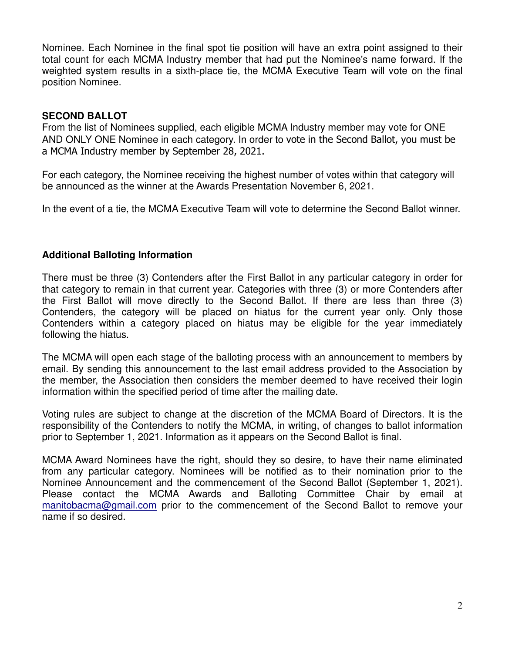Nominee. Each Nominee in the final spot tie position will have an extra point assigned to their total count for each MCMA Industry member that had put the Nominee's name forward. If the weighted system results in a sixth-place tie, the MCMA Executive Team will vote on the final position Nominee.

#### **SECOND BALLOT**

From the list of Nominees supplied, each eligible MCMA Industry member may vote for ONE AND ONLY ONE Nominee in each category. In order to vote in the Second Ballot, you must be a MCMA Industry member by September 28, 2021.

For each category, the Nominee receiving the highest number of votes within that category will be announced as the winner at the Awards Presentation November 6, 2021.

In the event of a tie, the MCMA Executive Team will vote to determine the Second Ballot winner.

# **Additional Balloting Information**

There must be three (3) Contenders after the First Ballot in any particular category in order for that category to remain in that current year. Categories with three (3) or more Contenders after the First Ballot will move directly to the Second Ballot. If there are less than three (3) Contenders, the category will be placed on hiatus for the current year only. Only those Contenders within a category placed on hiatus may be eligible for the year immediately following the hiatus.

The MCMA will open each stage of the balloting process with an announcement to members by email. By sending this announcement to the last email address provided to the Association by the member, the Association then considers the member deemed to have received their login information within the specified period of time after the mailing date.

Voting rules are subject to change at the discretion of the MCMA Board of Directors. It is the responsibility of the Contenders to notify the MCMA, in writing, of changes to ballot information prior to September 1, 2021. Information as it appears on the Second Ballot is final.

MCMA Award Nominees have the right, should they so desire, to have their name eliminated from any particular category. Nominees will be notified as to their nomination prior to the Nominee Announcement and the commencement of the Second Ballot (September 1, 2021). Please contact the MCMA Awards and Balloting Committee Chair by email at manitobacma@gmail.com prior to the commencement of the Second Ballot to remove your name if so desired.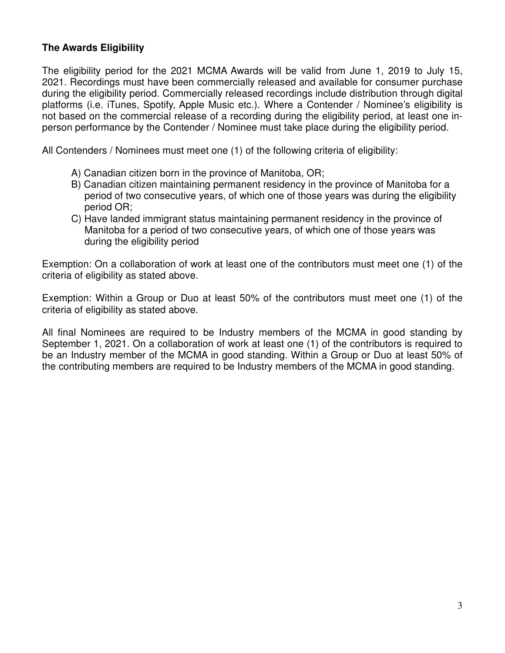# **The Awards Eligibility**

The eligibility period for the 2021 MCMA Awards will be valid from June 1, 2019 to July 15, 2021. Recordings must have been commercially released and available for consumer purchase during the eligibility period. Commercially released recordings include distribution through digital platforms (i.e. iTunes, Spotify, Apple Music etc.). Where a Contender / Nominee's eligibility is not based on the commercial release of a recording during the eligibility period, at least one inperson performance by the Contender / Nominee must take place during the eligibility period.

All Contenders / Nominees must meet one (1) of the following criteria of eligibility:

- A) Canadian citizen born in the province of Manitoba, OR;
- B) Canadian citizen maintaining permanent residency in the province of Manitoba for a period of two consecutive years, of which one of those years was during the eligibility period OR;
- C) Have landed immigrant status maintaining permanent residency in the province of Manitoba for a period of two consecutive years, of which one of those years was during the eligibility period

Exemption: On a collaboration of work at least one of the contributors must meet one (1) of the criteria of eligibility as stated above.

Exemption: Within a Group or Duo at least 50% of the contributors must meet one (1) of the criteria of eligibility as stated above.

All final Nominees are required to be Industry members of the MCMA in good standing by September 1, 2021. On a collaboration of work at least one (1) of the contributors is required to be an Industry member of the MCMA in good standing. Within a Group or Duo at least 50% of the contributing members are required to be Industry members of the MCMA in good standing.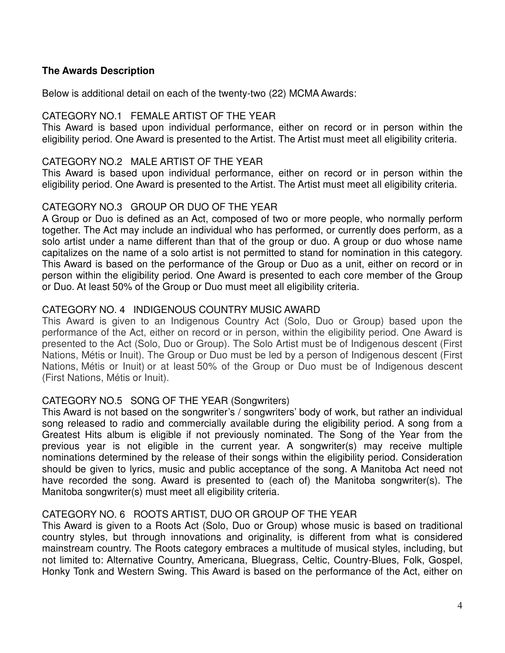## **The Awards Description**

Below is additional detail on each of the twenty-two (22) MCMA Awards:

## CATEGORY NO.1 FEMALE ARTIST OF THE YEAR

This Award is based upon individual performance, either on record or in person within the eligibility period. One Award is presented to the Artist. The Artist must meet all eligibility criteria.

#### CATEGORY NO.2 MALE ARTIST OF THE YEAR

This Award is based upon individual performance, either on record or in person within the eligibility period. One Award is presented to the Artist. The Artist must meet all eligibility criteria.

# CATEGORY NO.3 GROUP OR DUO OF THE YEAR

A Group or Duo is defined as an Act, composed of two or more people, who normally perform together. The Act may include an individual who has performed, or currently does perform, as a solo artist under a name different than that of the group or duo. A group or duo whose name capitalizes on the name of a solo artist is not permitted to stand for nomination in this category. This Award is based on the performance of the Group or Duo as a unit, either on record or in person within the eligibility period. One Award is presented to each core member of the Group or Duo. At least 50% of the Group or Duo must meet all eligibility criteria.

# CATEGORY NO. 4 INDIGENOUS COUNTRY MUSIC AWARD

This Award is given to an Indigenous Country Act (Solo, Duo or Group) based upon the performance of the Act, either on record or in person, within the eligibility period. One Award is presented to the Act (Solo, Duo or Group). The Solo Artist must be of Indigenous descent (First Nations, Métis or Inuit). The Group or Duo must be led by a person of Indigenous descent (First Nations, Métis or Inuit) or at least 50% of the Group or Duo must be of Indigenous descent (First Nations, Métis or Inuit).

# CATEGORY NO.5 SONG OF THE YEAR (Songwriters)

This Award is not based on the songwriter's / songwriters' body of work, but rather an individual song released to radio and commercially available during the eligibility period. A song from a Greatest Hits album is eligible if not previously nominated. The Song of the Year from the previous year is not eligible in the current year. A songwriter(s) may receive multiple nominations determined by the release of their songs within the eligibility period. Consideration should be given to lyrics, music and public acceptance of the song. A Manitoba Act need not have recorded the song. Award is presented to (each of) the Manitoba songwriter(s). The Manitoba songwriter(s) must meet all eligibility criteria.

# CATEGORY NO. 6 ROOTS ARTIST, DUO OR GROUP OF THE YEAR

This Award is given to a Roots Act (Solo, Duo or Group) whose music is based on traditional country styles, but through innovations and originality, is different from what is considered mainstream country. The Roots category embraces a multitude of musical styles, including, but not limited to: Alternative Country, Americana, Bluegrass, Celtic, Country-Blues, Folk, Gospel, Honky Tonk and Western Swing. This Award is based on the performance of the Act, either on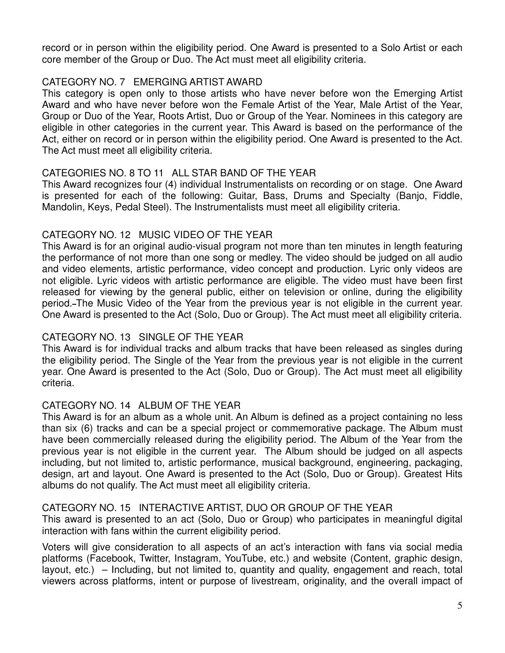record or in person within the eligibility period. One Award is presented to a Solo Artist or each core member of the Group or Duo. The Act must meet all eligibility criteria.

# CATEGORY NO. 7 EMERGING ARTIST AWARD

This category is open only to those artists who have never before won the Emerging Artist Award and who have never before won the Female Artist of the Year, Male Artist of the Year, Group or Duo of the Year, Roots Artist, Duo or Group of the Year. Nominees in this category are eligible in other categories in the current year. This Award is based on the performance of the Act, either on record or in person within the eligibility period. One Award is presented to the Act. The Act must meet all eligibility criteria.

# CATEGORIES NO. 8 TO 11 ALL STAR BAND OF THE YEAR

This Award recognizes four (4) individual Instrumentalists on recording or on stage. One Award is presented for each of the following: Guitar, Bass, Drums and Specialty (Banjo, Fiddle, Mandolin, Keys, Pedal Steel). The Instrumentalists must meet all eligibility criteria.

# CATEGORY NO. 12 MUSIC VIDEO OF THE YEAR

This Award is for an original audio-visual program not more than ten minutes in length featuring the performance of not more than one song or medley. The video should be judged on all audio and video elements, artistic performance, video concept and production. Lyric only videos are not eligible. Lyric videos with artistic performance are eligible. The video must have been first released for viewing by the general public, either on television or online, during the eligibility period. The Music Video of the Year from the previous year is not eligible in the current year. One Award is presented to the Act (Solo, Duo or Group). The Act must meet all eligibility criteria.

# CATEGORY NO. 13 SINGLE OF THE YEAR

This Award is for individual tracks and album tracks that have been released as singles during the eligibility period. The Single of the Year from the previous year is not eligible in the current year. One Award is presented to the Act (Solo, Duo or Group). The Act must meet all eligibility criteria.

# CATEGORY NO. 14 ALBUM OF THE YEAR

This Award is for an album as a whole unit. An Album is defined as a project containing no less than six (6) tracks and can be a special project or commemorative package. The Album must have been commercially released during the eligibility period. The Album of the Year from the previous year is not eligible in the current year. The Album should be judged on all aspects including, but not limited to, artistic performance, musical background, engineering, packaging, design, art and layout. One Award is presented to the Act (Solo, Duo or Group). Greatest Hits albums do not qualify. The Act must meet all eligibility criteria.

# CATEGORY NO. 15 INTERACTIVE ARTIST, DUO OR GROUP OF THE YEAR

This award is presented to an act (Solo, Duo or Group) who participates in meaningful digital interaction with fans within the current eligibility period.

Voters will give consideration to all aspects of an act's interaction with fans via social media platforms (Facebook, Twitter, Instagram, YouTube, etc.) and website (Content, graphic design, layout, etc.) – Including, but not limited to, quantity and quality, engagement and reach, total viewers across platforms, intent or purpose of livestream, originality, and the overall impact of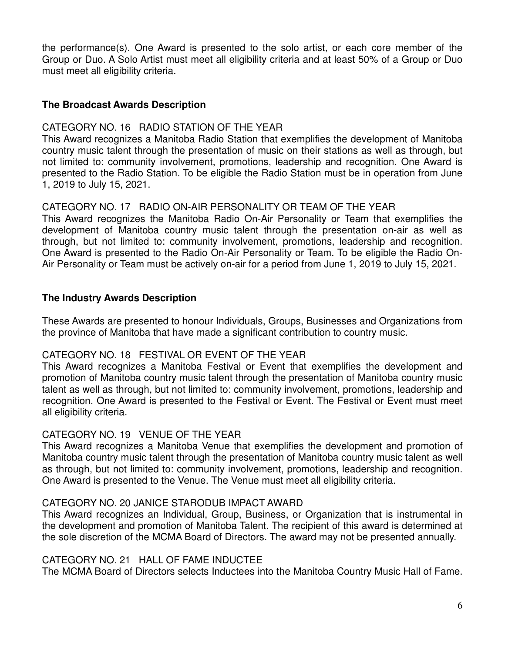the performance(s). One Award is presented to the solo artist, or each core member of the Group or Duo. A Solo Artist must meet all eligibility criteria and at least 50% of a Group or Duo must meet all eligibility criteria.

## **The Broadcast Awards Description**

## CATEGORY NO. 16 RADIO STATION OF THE YEAR

This Award recognizes a Manitoba Radio Station that exemplifies the development of Manitoba country music talent through the presentation of music on their stations as well as through, but not limited to: community involvement, promotions, leadership and recognition. One Award is presented to the Radio Station. To be eligible the Radio Station must be in operation from June 1, 2019 to July 15, 2021.

## CATEGORY NO. 17 RADIO ON-AIR PERSONALITY OR TEAM OF THE YEAR

This Award recognizes the Manitoba Radio On-Air Personality or Team that exemplifies the development of Manitoba country music talent through the presentation on-air as well as through, but not limited to: community involvement, promotions, leadership and recognition. One Award is presented to the Radio On-Air Personality or Team. To be eligible the Radio On-Air Personality or Team must be actively on-air for a period from June 1, 2019 to July 15, 2021.

## **The Industry Awards Description**

These Awards are presented to honour Individuals, Groups, Businesses and Organizations from the province of Manitoba that have made a significant contribution to country music.

#### CATEGORY NO. 18 FESTIVAL OR EVENT OF THE YEAR

This Award recognizes a Manitoba Festival or Event that exemplifies the development and promotion of Manitoba country music talent through the presentation of Manitoba country music talent as well as through, but not limited to: community involvement, promotions, leadership and recognition. One Award is presented to the Festival or Event. The Festival or Event must meet all eligibility criteria.

#### CATEGORY NO. 19 VENUE OF THE YEAR

This Award recognizes a Manitoba Venue that exemplifies the development and promotion of Manitoba country music talent through the presentation of Manitoba country music talent as well as through, but not limited to: community involvement, promotions, leadership and recognition. One Award is presented to the Venue. The Venue must meet all eligibility criteria.

#### CATEGORY NO. 20 JANICE STARODUB IMPACT AWARD

This Award recognizes an Individual, Group, Business, or Organization that is instrumental in the development and promotion of Manitoba Talent. The recipient of this award is determined at the sole discretion of the MCMA Board of Directors. The award may not be presented annually.

#### CATEGORY NO. 21 HALL OF FAME INDUCTEE

The MCMA Board of Directors selects Inductees into the Manitoba Country Music Hall of Fame.